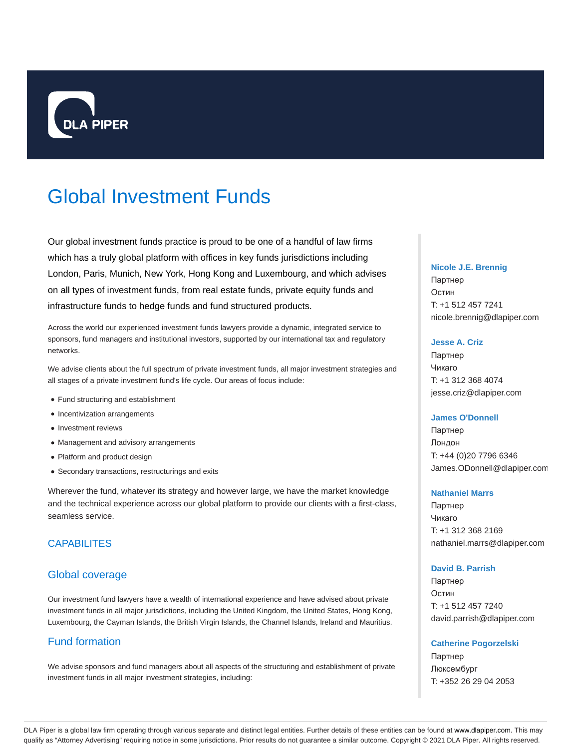

# Global Investment Funds

Our global investment funds practice is proud to be one of a handful of law firms which has a truly global platform with offices in key funds jurisdictions including London, Paris, Munich, New York, Hong Kong and Luxembourg, and which advises on all types of investment funds, from real estate funds, private equity funds and infrastructure funds to hedge funds and fund structured products.

Across the world our experienced investment funds lawyers provide a dynamic, integrated service to sponsors, fund managers and institutional investors, supported by our international tax and regulatory networks.

We advise clients about the full spectrum of private investment funds, all major investment strategies and all stages of a private investment fund's life cycle. Our areas of focus include:

- Fund structuring and establishment
- Incentivization arrangements
- Investment reviews
- Management and advisory arrangements
- Platform and product design
- Secondary transactions, restructurings and exits

Wherever the fund, whatever its strategy and however large, we have the market knowledge and the technical experience across our global platform to provide our clients with a first-class, seamless service.

## CAPABILITES

## Global coverage

Our investment fund lawyers have a wealth of international experience and have advised about private investment funds in all major jurisdictions, including the United Kingdom, the United States, Hong Kong, Luxembourg, the Cayman Islands, the British Virgin Islands, the Channel Islands, Ireland and Mauritius.

# Fund formation

We advise sponsors and fund managers about all aspects of the structuring and establishment of private investment funds in all major investment strategies, including:

#### **Nicole J.E. Brennig**

Партнер Остин T: +1 512 457 7241 nicole.brennig@dlapiper.com

## **Jesse A. Criz**

Партнер Чикаго T: +1 312 368 4074 jesse.criz@dlapiper.com

#### **James O'Donnell**

Партнер Лондон T: +44 (0)20 7796 6346 James.ODonnell@dlapiper.com

#### **Nathaniel Marrs**

Партнер Чикаго T: +1 312 368 2169 nathaniel.marrs@dlapiper.com

#### **David B. Parrish**

Партнер Остин T: +1 512 457 7240 david.parrish@dlapiper.com

**Catherine Pogorzelski** Партнер Люксембург T: +352 26 29 04 2053

DLA Piper is a global law firm operating through various separate and distinct legal entities. Further details of these entities can be found at www.dlapiper.com. This may qualify as "Attorney Advertising" requiring notice in some jurisdictions. Prior results do not guarantee a similar outcome. Copyright @ 2021 DLA Piper. All rights reserved.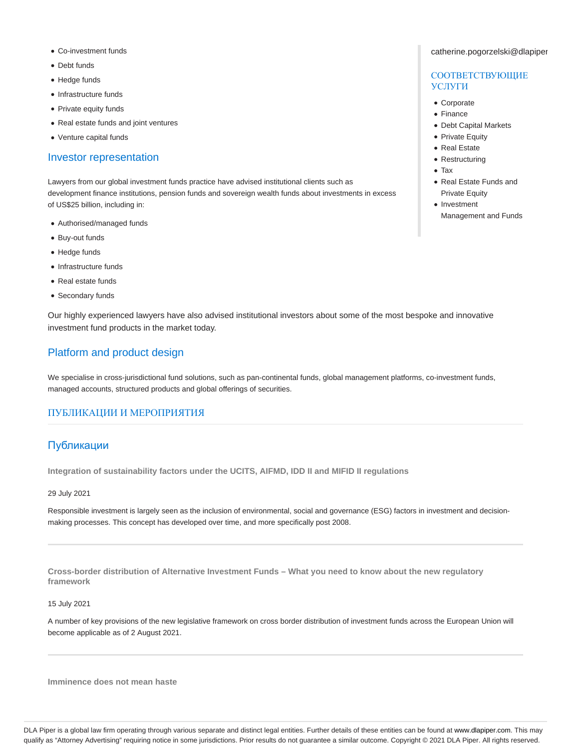- Co-investment funds
- Debt funds
- Hedge funds
- Infrastructure funds
- Private equity funds
- Real estate funds and joint ventures
- Venture capital funds

#### Investor representation

Lawyers from our global investment funds practice have advised institutional clients such as development finance institutions, pension funds and sovereign wealth funds about investments in excess of US\$25 billion, including in:

- Authorised/managed funds
- Buy-out funds
- Hedge funds
- Infrastructure funds
- Real estate funds
- Secondary funds

Our highly experienced lawyers have also advised institutional investors about some of the most bespoke and innovative investment fund products in the market today.

## Platform and product design

We specialise in cross-jurisdictional fund solutions, such as pan-continental funds, global management platforms, co-investment funds, managed accounts, structured products and global offerings of securities.

## ПУБЛИКАЦИИ И МЕРОПРИЯТИЯ

## Публикации

**Integration of sustainability factors under the UCITS, AIFMD, IDD II and MIFID II regulations**

29 July 2021

Responsible investment is largely seen as the inclusion of environmental, social and governance (ESG) factors in investment and decisionmaking processes. This concept has developed over time, and more specifically post 2008.

**Cross-border distribution of Alternative Investment Funds – What you need to know about the new regulatory framework**

15 July 2021

A number of key provisions of the new legislative framework on cross border distribution of investment funds across the European Union will become applicable as of 2 August 2021.

**Imminence does not mean haste**

#### catherine.pogorzelski@dlapiper

## СООТВЕТСТВУЮЩИЕ УСЛУГИ

- Corporate
- Finance
- Debt Capital Markets
- Private Equity
- Real Estate
- Restructuring
- Tax
- Real Estate Funds and **Private Equity**
- Investment Management and Funds

DLA Piper is a global law firm operating through various separate and distinct legal entities. Further details of these entities can be found at www.dlapiper.com. This may qualify as "Attorney Advertising" requiring notice in some jurisdictions. Prior results do not guarantee a similar outcome. Copyright @ 2021 DLA Piper. All rights reserved.